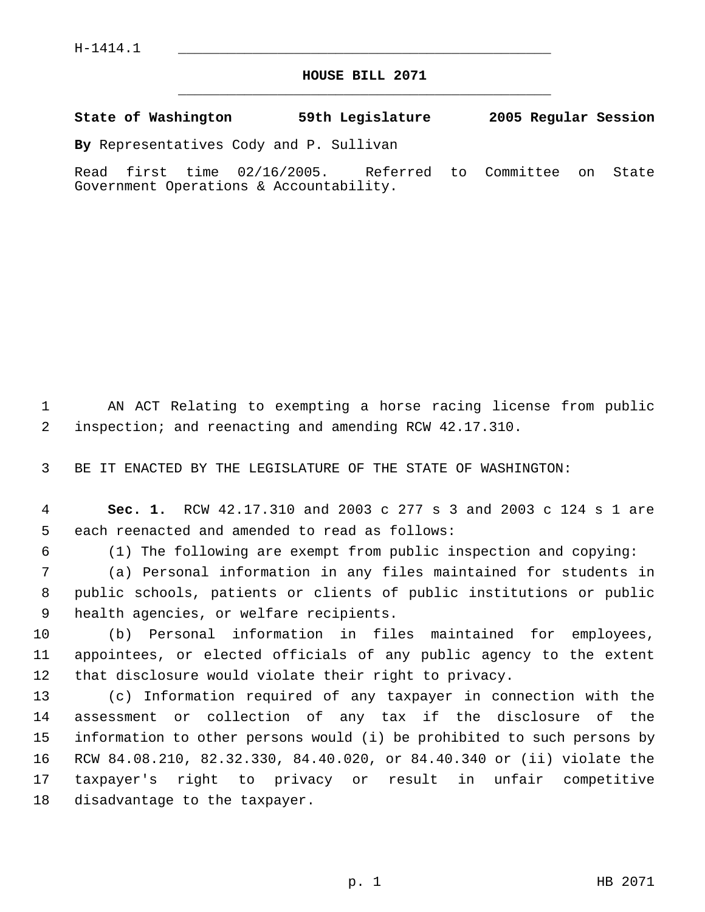## **HOUSE BILL 2071** \_\_\_\_\_\_\_\_\_\_\_\_\_\_\_\_\_\_\_\_\_\_\_\_\_\_\_\_\_\_\_\_\_\_\_\_\_\_\_\_\_\_\_\_\_

**State of Washington 59th Legislature 2005 Regular Session**

**By** Representatives Cody and P. Sullivan

Read first time 02/16/2005. Referred to Committee on State Government Operations & Accountability.

 AN ACT Relating to exempting a horse racing license from public inspection; and reenacting and amending RCW 42.17.310.

BE IT ENACTED BY THE LEGISLATURE OF THE STATE OF WASHINGTON:

 **Sec. 1.** RCW 42.17.310 and 2003 c 277 s 3 and 2003 c 124 s 1 are each reenacted and amended to read as follows:

(1) The following are exempt from public inspection and copying:

 (a) Personal information in any files maintained for students in public schools, patients or clients of public institutions or public health agencies, or welfare recipients.

 (b) Personal information in files maintained for employees, appointees, or elected officials of any public agency to the extent that disclosure would violate their right to privacy.

 (c) Information required of any taxpayer in connection with the assessment or collection of any tax if the disclosure of the information to other persons would (i) be prohibited to such persons by RCW 84.08.210, 82.32.330, 84.40.020, or 84.40.340 or (ii) violate the taxpayer's right to privacy or result in unfair competitive disadvantage to the taxpayer.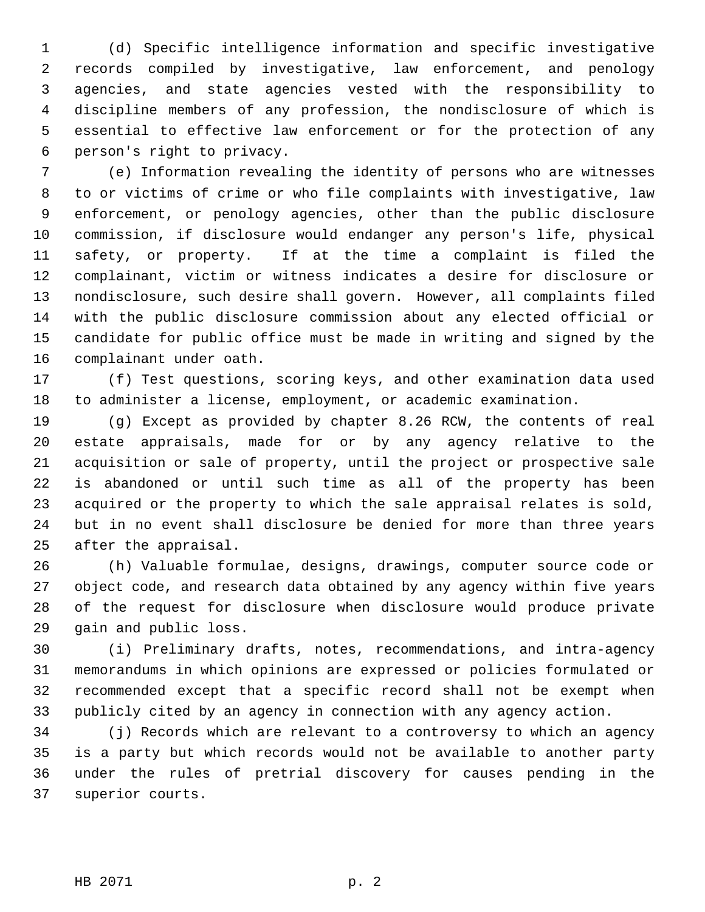(d) Specific intelligence information and specific investigative records compiled by investigative, law enforcement, and penology agencies, and state agencies vested with the responsibility to discipline members of any profession, the nondisclosure of which is essential to effective law enforcement or for the protection of any person's right to privacy.

 (e) Information revealing the identity of persons who are witnesses to or victims of crime or who file complaints with investigative, law enforcement, or penology agencies, other than the public disclosure commission, if disclosure would endanger any person's life, physical safety, or property. If at the time a complaint is filed the complainant, victim or witness indicates a desire for disclosure or nondisclosure, such desire shall govern. However, all complaints filed with the public disclosure commission about any elected official or candidate for public office must be made in writing and signed by the complainant under oath.

 (f) Test questions, scoring keys, and other examination data used to administer a license, employment, or academic examination.

 (g) Except as provided by chapter 8.26 RCW, the contents of real estate appraisals, made for or by any agency relative to the acquisition or sale of property, until the project or prospective sale is abandoned or until such time as all of the property has been acquired or the property to which the sale appraisal relates is sold, but in no event shall disclosure be denied for more than three years after the appraisal.

 (h) Valuable formulae, designs, drawings, computer source code or object code, and research data obtained by any agency within five years of the request for disclosure when disclosure would produce private gain and public loss.

 (i) Preliminary drafts, notes, recommendations, and intra-agency memorandums in which opinions are expressed or policies formulated or recommended except that a specific record shall not be exempt when publicly cited by an agency in connection with any agency action.

 (j) Records which are relevant to a controversy to which an agency is a party but which records would not be available to another party under the rules of pretrial discovery for causes pending in the superior courts.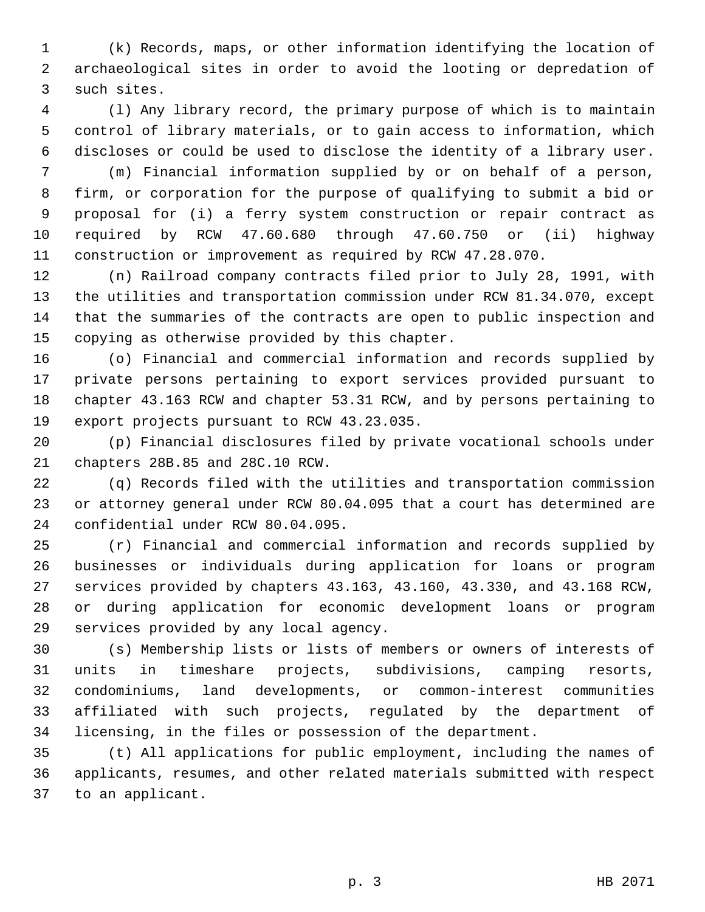(k) Records, maps, or other information identifying the location of archaeological sites in order to avoid the looting or depredation of such sites.

 (l) Any library record, the primary purpose of which is to maintain control of library materials, or to gain access to information, which discloses or could be used to disclose the identity of a library user.

 (m) Financial information supplied by or on behalf of a person, firm, or corporation for the purpose of qualifying to submit a bid or proposal for (i) a ferry system construction or repair contract as required by RCW 47.60.680 through 47.60.750 or (ii) highway construction or improvement as required by RCW 47.28.070.

 (n) Railroad company contracts filed prior to July 28, 1991, with the utilities and transportation commission under RCW 81.34.070, except that the summaries of the contracts are open to public inspection and copying as otherwise provided by this chapter.

 (o) Financial and commercial information and records supplied by private persons pertaining to export services provided pursuant to chapter 43.163 RCW and chapter 53.31 RCW, and by persons pertaining to export projects pursuant to RCW 43.23.035.

 (p) Financial disclosures filed by private vocational schools under chapters 28B.85 and 28C.10 RCW.

 (q) Records filed with the utilities and transportation commission or attorney general under RCW 80.04.095 that a court has determined are confidential under RCW 80.04.095.

 (r) Financial and commercial information and records supplied by businesses or individuals during application for loans or program services provided by chapters 43.163, 43.160, 43.330, and 43.168 RCW, or during application for economic development loans or program services provided by any local agency.

 (s) Membership lists or lists of members or owners of interests of units in timeshare projects, subdivisions, camping resorts, condominiums, land developments, or common-interest communities affiliated with such projects, regulated by the department of licensing, in the files or possession of the department.

 (t) All applications for public employment, including the names of applicants, resumes, and other related materials submitted with respect to an applicant.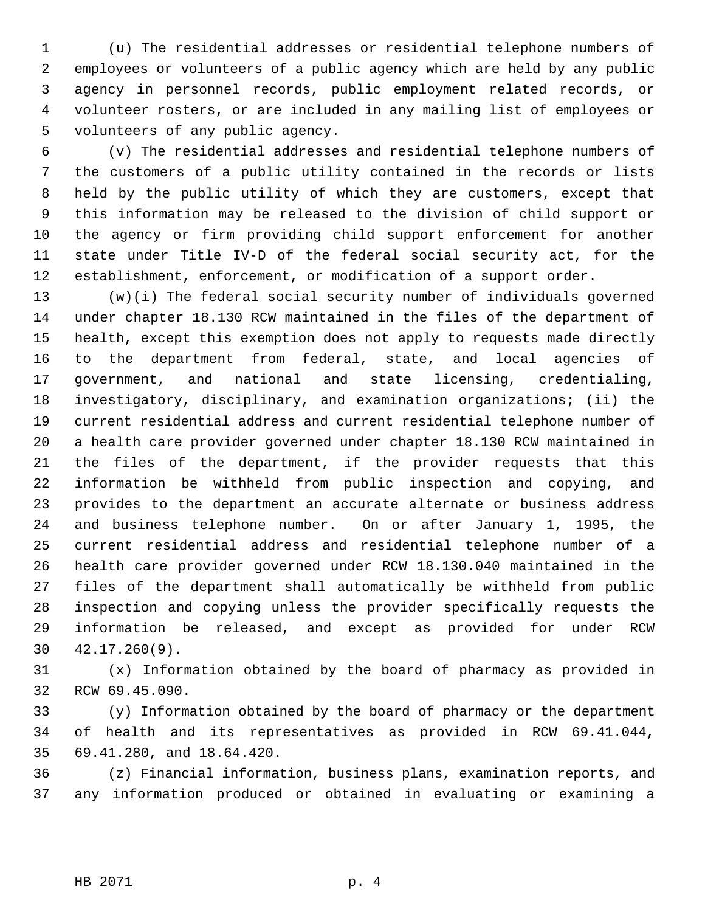(u) The residential addresses or residential telephone numbers of employees or volunteers of a public agency which are held by any public agency in personnel records, public employment related records, or volunteer rosters, or are included in any mailing list of employees or volunteers of any public agency.

 (v) The residential addresses and residential telephone numbers of the customers of a public utility contained in the records or lists held by the public utility of which they are customers, except that this information may be released to the division of child support or the agency or firm providing child support enforcement for another state under Title IV-D of the federal social security act, for the establishment, enforcement, or modification of a support order.

 (w)(i) The federal social security number of individuals governed under chapter 18.130 RCW maintained in the files of the department of health, except this exemption does not apply to requests made directly to the department from federal, state, and local agencies of government, and national and state licensing, credentialing, investigatory, disciplinary, and examination organizations; (ii) the current residential address and current residential telephone number of a health care provider governed under chapter 18.130 RCW maintained in the files of the department, if the provider requests that this information be withheld from public inspection and copying, and provides to the department an accurate alternate or business address and business telephone number. On or after January 1, 1995, the current residential address and residential telephone number of a health care provider governed under RCW 18.130.040 maintained in the files of the department shall automatically be withheld from public inspection and copying unless the provider specifically requests the information be released, and except as provided for under RCW 42.17.260(9).

 (x) Information obtained by the board of pharmacy as provided in RCW 69.45.090.

 (y) Information obtained by the board of pharmacy or the department of health and its representatives as provided in RCW 69.41.044, 69.41.280, and 18.64.420.

 (z) Financial information, business plans, examination reports, and any information produced or obtained in evaluating or examining a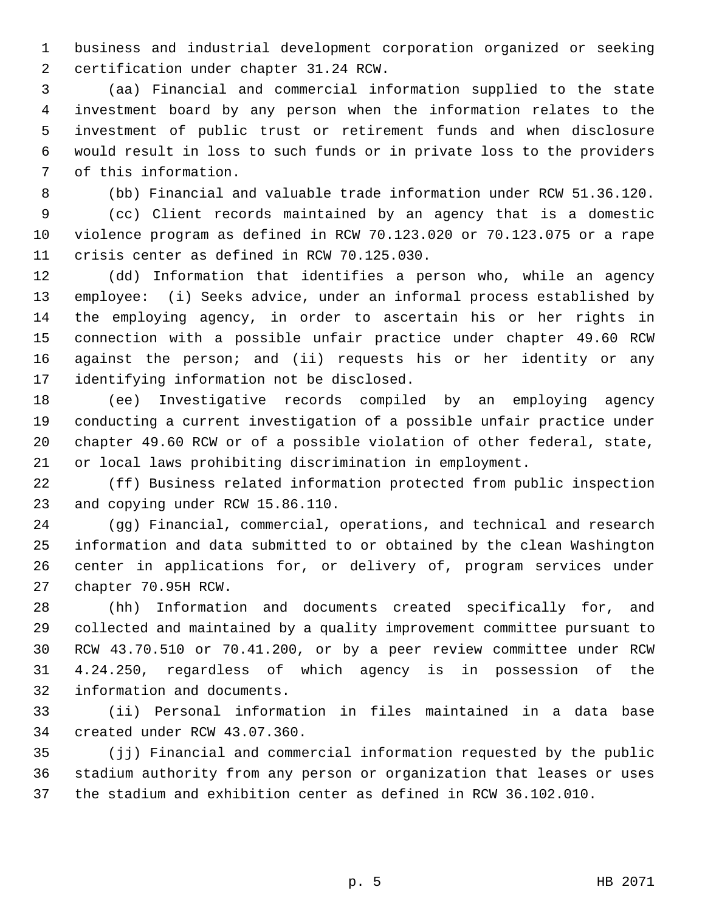business and industrial development corporation organized or seeking certification under chapter 31.24 RCW.

 (aa) Financial and commercial information supplied to the state investment board by any person when the information relates to the investment of public trust or retirement funds and when disclosure would result in loss to such funds or in private loss to the providers of this information.

(bb) Financial and valuable trade information under RCW 51.36.120.

 (cc) Client records maintained by an agency that is a domestic violence program as defined in RCW 70.123.020 or 70.123.075 or a rape crisis center as defined in RCW 70.125.030.

 (dd) Information that identifies a person who, while an agency employee: (i) Seeks advice, under an informal process established by the employing agency, in order to ascertain his or her rights in connection with a possible unfair practice under chapter 49.60 RCW against the person; and (ii) requests his or her identity or any identifying information not be disclosed.

 (ee) Investigative records compiled by an employing agency conducting a current investigation of a possible unfair practice under chapter 49.60 RCW or of a possible violation of other federal, state, or local laws prohibiting discrimination in employment.

 (ff) Business related information protected from public inspection and copying under RCW 15.86.110.

 (gg) Financial, commercial, operations, and technical and research information and data submitted to or obtained by the clean Washington center in applications for, or delivery of, program services under chapter 70.95H RCW.

 (hh) Information and documents created specifically for, and collected and maintained by a quality improvement committee pursuant to RCW 43.70.510 or 70.41.200, or by a peer review committee under RCW 4.24.250, regardless of which agency is in possession of the information and documents.

 (ii) Personal information in files maintained in a data base created under RCW 43.07.360.

 (jj) Financial and commercial information requested by the public stadium authority from any person or organization that leases or uses the stadium and exhibition center as defined in RCW 36.102.010.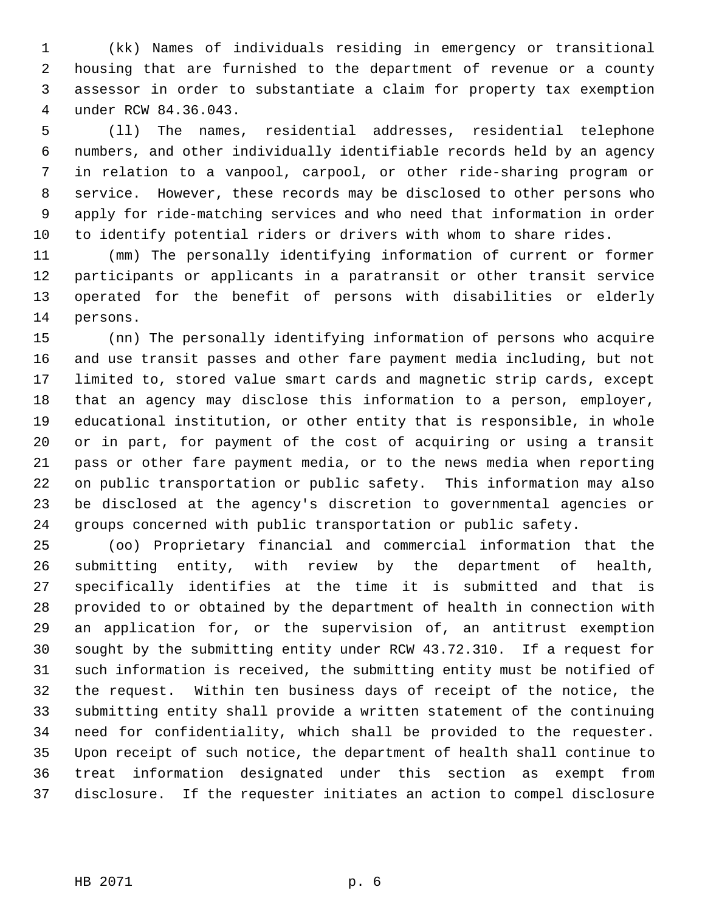(kk) Names of individuals residing in emergency or transitional housing that are furnished to the department of revenue or a county assessor in order to substantiate a claim for property tax exemption under RCW 84.36.043.

 (ll) The names, residential addresses, residential telephone numbers, and other individually identifiable records held by an agency in relation to a vanpool, carpool, or other ride-sharing program or service. However, these records may be disclosed to other persons who apply for ride-matching services and who need that information in order to identify potential riders or drivers with whom to share rides.

 (mm) The personally identifying information of current or former participants or applicants in a paratransit or other transit service operated for the benefit of persons with disabilities or elderly persons.

 (nn) The personally identifying information of persons who acquire and use transit passes and other fare payment media including, but not limited to, stored value smart cards and magnetic strip cards, except that an agency may disclose this information to a person, employer, educational institution, or other entity that is responsible, in whole or in part, for payment of the cost of acquiring or using a transit pass or other fare payment media, or to the news media when reporting on public transportation or public safety. This information may also be disclosed at the agency's discretion to governmental agencies or groups concerned with public transportation or public safety.

 (oo) Proprietary financial and commercial information that the submitting entity, with review by the department of health, specifically identifies at the time it is submitted and that is provided to or obtained by the department of health in connection with an application for, or the supervision of, an antitrust exemption sought by the submitting entity under RCW 43.72.310. If a request for such information is received, the submitting entity must be notified of the request. Within ten business days of receipt of the notice, the submitting entity shall provide a written statement of the continuing need for confidentiality, which shall be provided to the requester. Upon receipt of such notice, the department of health shall continue to treat information designated under this section as exempt from disclosure. If the requester initiates an action to compel disclosure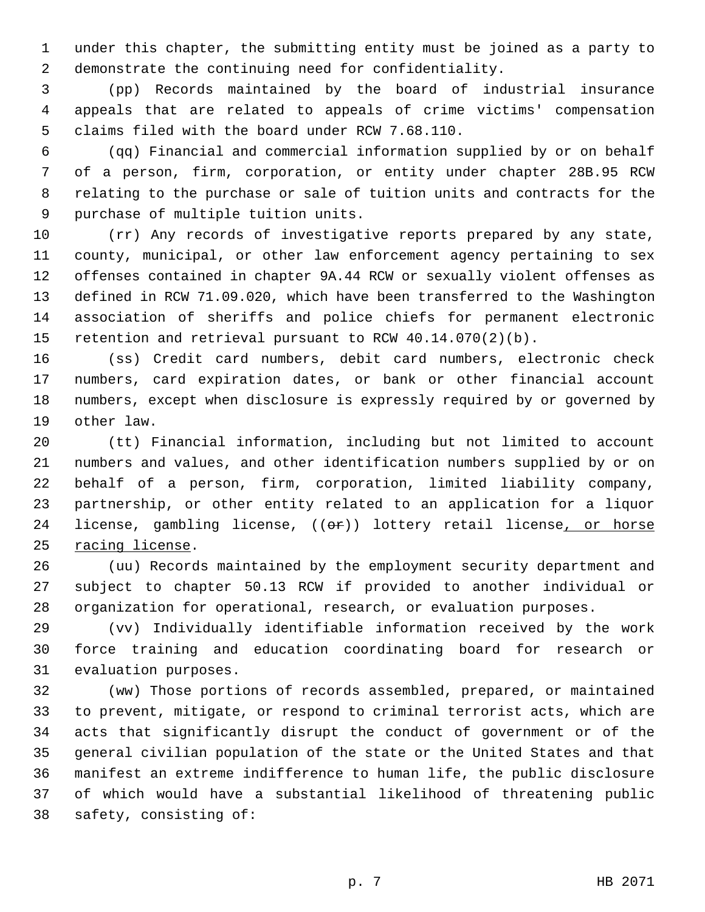under this chapter, the submitting entity must be joined as a party to demonstrate the continuing need for confidentiality.

 (pp) Records maintained by the board of industrial insurance appeals that are related to appeals of crime victims' compensation claims filed with the board under RCW 7.68.110.

 (qq) Financial and commercial information supplied by or on behalf of a person, firm, corporation, or entity under chapter 28B.95 RCW relating to the purchase or sale of tuition units and contracts for the purchase of multiple tuition units.

 (rr) Any records of investigative reports prepared by any state, county, municipal, or other law enforcement agency pertaining to sex offenses contained in chapter 9A.44 RCW or sexually violent offenses as defined in RCW 71.09.020, which have been transferred to the Washington association of sheriffs and police chiefs for permanent electronic retention and retrieval pursuant to RCW 40.14.070(2)(b).

 (ss) Credit card numbers, debit card numbers, electronic check numbers, card expiration dates, or bank or other financial account numbers, except when disclosure is expressly required by or governed by other law.

 (tt) Financial information, including but not limited to account numbers and values, and other identification numbers supplied by or on behalf of a person, firm, corporation, limited liability company, partnership, or other entity related to an application for a liquor 24 license, gambling license, ((or)) lottery retail license, or horse racing license.

 (uu) Records maintained by the employment security department and subject to chapter 50.13 RCW if provided to another individual or organization for operational, research, or evaluation purposes.

 (vv) Individually identifiable information received by the work force training and education coordinating board for research or evaluation purposes.

 (ww) Those portions of records assembled, prepared, or maintained to prevent, mitigate, or respond to criminal terrorist acts, which are acts that significantly disrupt the conduct of government or of the general civilian population of the state or the United States and that manifest an extreme indifference to human life, the public disclosure of which would have a substantial likelihood of threatening public safety, consisting of: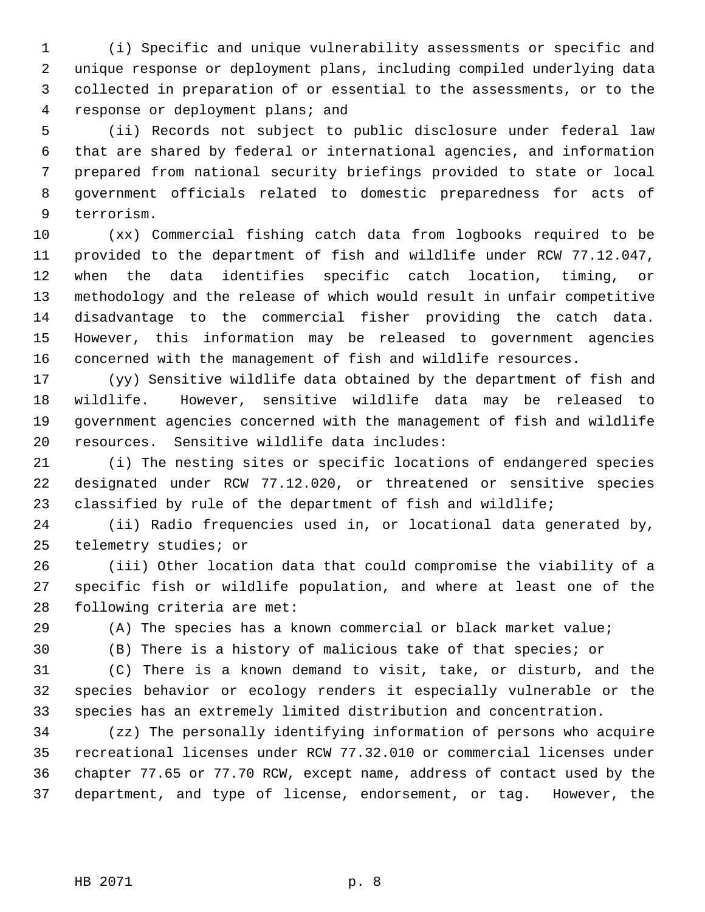(i) Specific and unique vulnerability assessments or specific and unique response or deployment plans, including compiled underlying data collected in preparation of or essential to the assessments, or to the response or deployment plans; and

 (ii) Records not subject to public disclosure under federal law that are shared by federal or international agencies, and information prepared from national security briefings provided to state or local government officials related to domestic preparedness for acts of terrorism.

 (xx) Commercial fishing catch data from logbooks required to be provided to the department of fish and wildlife under RCW 77.12.047, when the data identifies specific catch location, timing, or methodology and the release of which would result in unfair competitive disadvantage to the commercial fisher providing the catch data. However, this information may be released to government agencies concerned with the management of fish and wildlife resources.

 (yy) Sensitive wildlife data obtained by the department of fish and wildlife. However, sensitive wildlife data may be released to government agencies concerned with the management of fish and wildlife resources. Sensitive wildlife data includes:

 (i) The nesting sites or specific locations of endangered species designated under RCW 77.12.020, or threatened or sensitive species classified by rule of the department of fish and wildlife;

 (ii) Radio frequencies used in, or locational data generated by, telemetry studies; or

 (iii) Other location data that could compromise the viability of a specific fish or wildlife population, and where at least one of the following criteria are met:

(A) The species has a known commercial or black market value;

(B) There is a history of malicious take of that species; or

 (C) There is a known demand to visit, take, or disturb, and the species behavior or ecology renders it especially vulnerable or the species has an extremely limited distribution and concentration.

 (zz) The personally identifying information of persons who acquire recreational licenses under RCW 77.32.010 or commercial licenses under chapter 77.65 or 77.70 RCW, except name, address of contact used by the department, and type of license, endorsement, or tag. However, the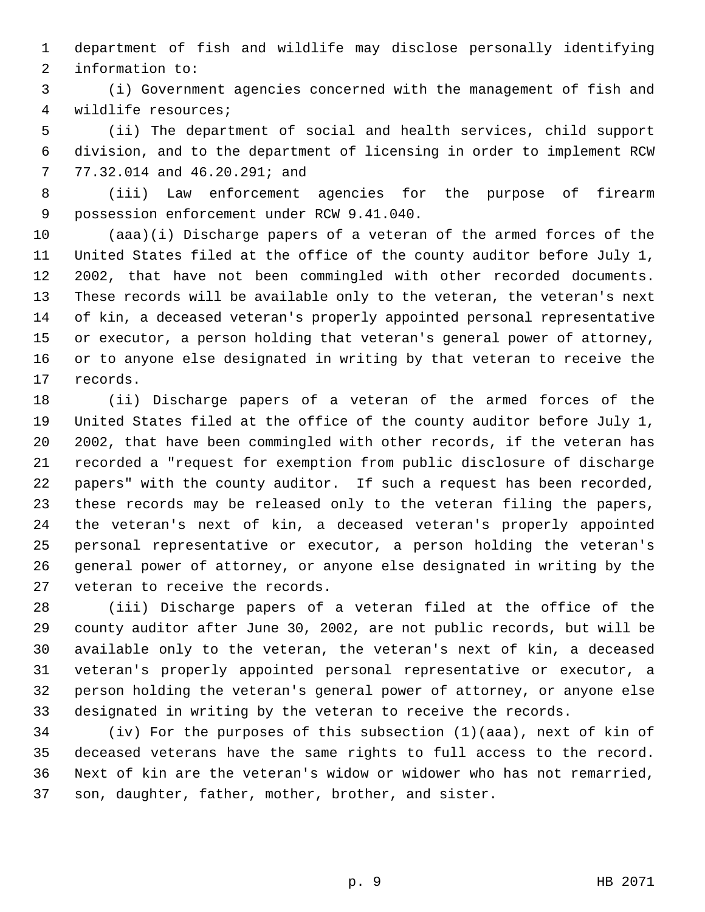department of fish and wildlife may disclose personally identifying information to:

 (i) Government agencies concerned with the management of fish and wildlife resources;

 (ii) The department of social and health services, child support division, and to the department of licensing in order to implement RCW 77.32.014 and 46.20.291; and

 (iii) Law enforcement agencies for the purpose of firearm possession enforcement under RCW 9.41.040.

 (aaa)(i) Discharge papers of a veteran of the armed forces of the United States filed at the office of the county auditor before July 1, 2002, that have not been commingled with other recorded documents. These records will be available only to the veteran, the veteran's next of kin, a deceased veteran's properly appointed personal representative or executor, a person holding that veteran's general power of attorney, or to anyone else designated in writing by that veteran to receive the records.

 (ii) Discharge papers of a veteran of the armed forces of the United States filed at the office of the county auditor before July 1, 2002, that have been commingled with other records, if the veteran has recorded a "request for exemption from public disclosure of discharge papers" with the county auditor. If such a request has been recorded, these records may be released only to the veteran filing the papers, the veteran's next of kin, a deceased veteran's properly appointed personal representative or executor, a person holding the veteran's general power of attorney, or anyone else designated in writing by the veteran to receive the records.

 (iii) Discharge papers of a veteran filed at the office of the county auditor after June 30, 2002, are not public records, but will be available only to the veteran, the veteran's next of kin, a deceased veteran's properly appointed personal representative or executor, a person holding the veteran's general power of attorney, or anyone else designated in writing by the veteran to receive the records.

 (iv) For the purposes of this subsection (1)(aaa), next of kin of deceased veterans have the same rights to full access to the record. Next of kin are the veteran's widow or widower who has not remarried, son, daughter, father, mother, brother, and sister.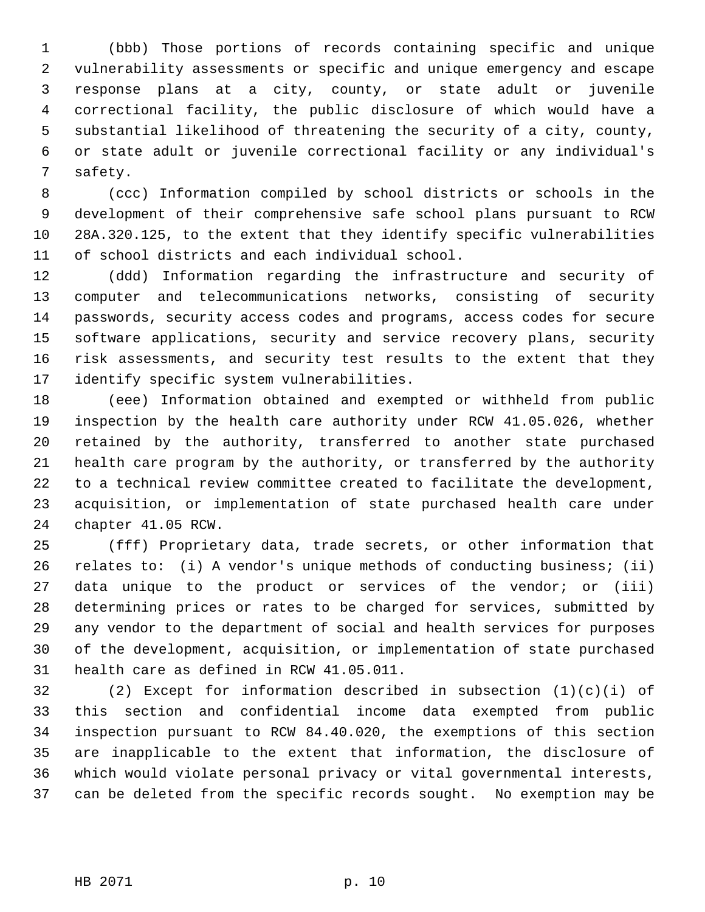(bbb) Those portions of records containing specific and unique vulnerability assessments or specific and unique emergency and escape response plans at a city, county, or state adult or juvenile correctional facility, the public disclosure of which would have a substantial likelihood of threatening the security of a city, county, or state adult or juvenile correctional facility or any individual's safety.

 (ccc) Information compiled by school districts or schools in the development of their comprehensive safe school plans pursuant to RCW 28A.320.125, to the extent that they identify specific vulnerabilities of school districts and each individual school.

 (ddd) Information regarding the infrastructure and security of computer and telecommunications networks, consisting of security passwords, security access codes and programs, access codes for secure software applications, security and service recovery plans, security risk assessments, and security test results to the extent that they identify specific system vulnerabilities.

 (eee) Information obtained and exempted or withheld from public inspection by the health care authority under RCW 41.05.026, whether retained by the authority, transferred to another state purchased health care program by the authority, or transferred by the authority to a technical review committee created to facilitate the development, acquisition, or implementation of state purchased health care under chapter 41.05 RCW.

 (fff) Proprietary data, trade secrets, or other information that relates to: (i) A vendor's unique methods of conducting business; (ii) data unique to the product or services of the vendor; or (iii) determining prices or rates to be charged for services, submitted by any vendor to the department of social and health services for purposes of the development, acquisition, or implementation of state purchased health care as defined in RCW 41.05.011.

 (2) Except for information described in subsection (1)(c)(i) of this section and confidential income data exempted from public inspection pursuant to RCW 84.40.020, the exemptions of this section are inapplicable to the extent that information, the disclosure of which would violate personal privacy or vital governmental interests, can be deleted from the specific records sought. No exemption may be